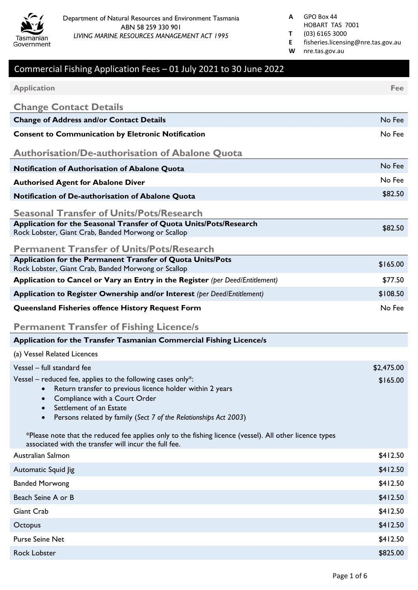

- HOBART TAS 7001
- **T** (03) 6165 3000
- **E** fisheries.licensing@nre.tas.gov.au **W** nre.tas.gov.au

# Commercial Fishing Application Fees – 01 July 2021 to 30 June 2022 **Application Fee Change Contact Details Change of Address and/or Contact Details** No Fee extending the state of the state of the state of the Sheep extending the Sheep extending the Sheep extending the Sheep extending the Sheep extending the Sheep extending the **Consent to Communication by Eletronic Notification** Note and Note and Note and Note and Note and Note and Note and Note and Note and Note and Note and Note and Note and Note and Note and Note and Note and Note and Note an **Authorisation/De-authorisation of Abalone Quota Notification of Authorisation of Abalone Quota** No Fee and The Contract Contract No Fee and The Contract Oriented No Fee **Authorised Agent for Abalone Diver** No Fee **Notification of De-authorisation of Abalone Quota**  $\mu$ **Seasonal Transfer of Units/Pots/Research Application for the Seasonal Transfer of Quota Units/Pots/Research** Application for the Seasonal Transfer of Quota Official Ots/Research<br>Rock Lobster, Giant Crab, Banded Morwong or Scallop **Permanent Transfer of Units/Pots/Research Application for the Permanent Transfer of Quota Units/Pots** Application for the Fermanent Transfer of Quota Official Crisis<br>Rock Lobster, Giant Crab, Banded Morwong or Scallop **Application to Cancel or Vary an Entry in the Register** *(per Deed/Entitlement)* \$77.50 **Application to Register Ownership and/or Interest** *(per Deed/Entitlement)* \$108.50 **Queensland Fisheries offence History Request Form** No Fee No Fee **Permanent Transfer of Fishing Licence/s Application for the Transfer Tasmanian Commercial Fishing Licence/s** (a) Vessel Related Licences Vessel – full standard fee \$2,475.00 Vessel – reduced fee, applies to the following cases only\*: • Return transfer to previous licence holder within 2 years • Compliance with a Court Order • Settlement of an Estate • Persons related by family (*Sect 7 of the Relationships Act 2003*) \*Please note that the reduced fee applies only to the fishing licence (vessel). All other licence types associated with the transfer will incur the full fee. Australian Salmon \$412.50 Automatic Squid Jig  $$412.50$ Banded Morwong **\$412.50** Beach Seine A or B \$412.50 Giant Crab \$412.50 Octopus \$412.50 Purse Seine Net \$412.50

Rock Lobster \$825.00 يستخدم المستخدم المستخدم المستخدم المستخدم المستخدم المستخدم المستخدم المستخدم المستخدم المستخدم المستخدم المستخدم المستخدم المستخدم المستخدم المستخدم المستخدم المستخدم المستخدم المستخدم المستخدم المست

\$165.00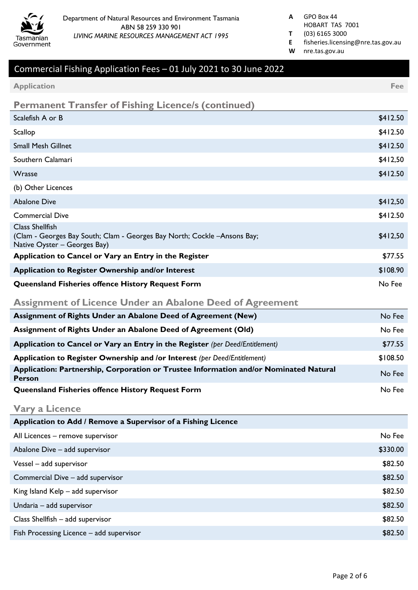

- HOBART TAS 7001
- **T** (03) 6165 3000
- **E** fisheries.licensing@nre.tas.gov.au
- **W** nre.tas.gov.au

| <b>Application</b>                                                                                                                  | Fee      |
|-------------------------------------------------------------------------------------------------------------------------------------|----------|
| <b>Permanent Transfer of Fishing Licence/s (continued)</b>                                                                          |          |
| Scalefish A or B                                                                                                                    | \$412.50 |
| Scallop                                                                                                                             | \$412.50 |
| <b>Small Mesh Gillnet</b>                                                                                                           | \$412.50 |
| Southern Calamari                                                                                                                   | \$412,50 |
| Wrasse                                                                                                                              | \$412.50 |
| (b) Other Licences                                                                                                                  |          |
| <b>Abalone Dive</b>                                                                                                                 | \$412,50 |
| <b>Commercial Dive</b>                                                                                                              | \$412.50 |
| <b>Class Shellfish</b><br>(Clam - Georges Bay South; Clam - Georges Bay North; Cockle - Ansons Bay;<br>Native Oyster - Georges Bay) | \$412,50 |
| Application to Cancel or Vary an Entry in the Register                                                                              | \$77.55  |
| Application to Register Ownership and/or Interest                                                                                   | \$108.90 |
| Queensland Fisheries offence History Request Form                                                                                   | No Fee   |
| <b>Assignment of Licence Under an Abalone Deed of Agreement</b>                                                                     |          |
| Assignment of Rights Under an Abalone Deed of Agreement (New)                                                                       | No Fee   |
| Assignment of Rights Under an Abalone Deed of Agreement (Old)                                                                       | No Fee   |
|                                                                                                                                     |          |
| Application to Cancel or Vary an Entry in the Register (per Deed/Entitlement)                                                       | \$77.55  |
| Application to Register Ownership and /or Interest (per Deed/Entitlement)                                                           | \$108.50 |
| Application: Partnership, Corporation or Trustee Information and/or Nominated Natural<br><b>Person</b>                              | No Fee   |
| <b>Queensland Fisheries offence History Request Form</b>                                                                            | No Fee   |
| <b>Vary a Licence</b>                                                                                                               |          |
| Application to Add / Remove a Supervisor of a Fishing Licence                                                                       |          |
| All Licences - remove supervisor                                                                                                    | No Fee   |
| Abalone Dive - add supervisor                                                                                                       | \$330.00 |
| Vessel - add supervisor                                                                                                             | \$82.50  |
| Commercial Dive - add supervisor                                                                                                    | \$82.50  |
| King Island Kelp - add supervisor                                                                                                   | \$82.50  |
| Undaria - add supervisor                                                                                                            | \$82.50  |
| Class Shellfish - add supervisor                                                                                                    | \$82.50  |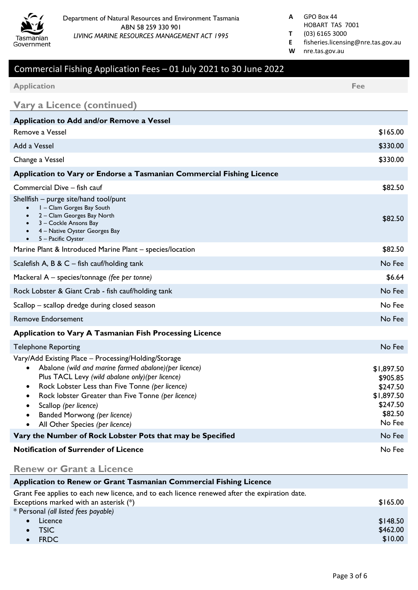

- HOBART TAS 7001
- **T** (03) 6165 3000
- **E** fisheries.licensing@nre.tas.gov.au
- **W** nre.tas.gov.au

| <b>Application</b>                                                                                                                                                                                                                                                                                                                                                      | Fee                                                                               |
|-------------------------------------------------------------------------------------------------------------------------------------------------------------------------------------------------------------------------------------------------------------------------------------------------------------------------------------------------------------------------|-----------------------------------------------------------------------------------|
| <b>Vary a Licence (continued)</b>                                                                                                                                                                                                                                                                                                                                       |                                                                                   |
| <b>Application to Add and/or Remove a Vessel</b>                                                                                                                                                                                                                                                                                                                        |                                                                                   |
| Remove a Vessel                                                                                                                                                                                                                                                                                                                                                         | \$165.00                                                                          |
| Add a Vessel                                                                                                                                                                                                                                                                                                                                                            | \$330.00                                                                          |
| Change a Vessel                                                                                                                                                                                                                                                                                                                                                         | \$330.00                                                                          |
| Application to Vary or Endorse a Tasmanian Commercial Fishing Licence                                                                                                                                                                                                                                                                                                   |                                                                                   |
| Commercial Dive - fish cauf                                                                                                                                                                                                                                                                                                                                             | \$82.50                                                                           |
| Shellfish – purge site/hand tool/punt<br>I - Clam Gorges Bay South<br>2 - Clam Georges Bay North<br>3 - Cockle Ansons Bay<br>4 - Native Oyster Georges Bay<br>5 - Pacific Oyster<br>$\bullet$                                                                                                                                                                           | \$82.50                                                                           |
| Marine Plant & Introduced Marine Plant - species/location                                                                                                                                                                                                                                                                                                               | \$82.50                                                                           |
| Scalefish A, B & $C$ – fish cauf/holding tank                                                                                                                                                                                                                                                                                                                           | No Fee                                                                            |
| Mackeral A - species/tonnage (fee per tonne)                                                                                                                                                                                                                                                                                                                            | \$6.64                                                                            |
| Rock Lobster & Giant Crab - fish cauf/holding tank                                                                                                                                                                                                                                                                                                                      | No Fee                                                                            |
| Scallop - scallop dredge during closed season                                                                                                                                                                                                                                                                                                                           | No Fee                                                                            |
| <b>Remove Endorsement</b>                                                                                                                                                                                                                                                                                                                                               | No Fee                                                                            |
| <b>Application to Vary A Tasmanian Fish Processing Licence</b>                                                                                                                                                                                                                                                                                                          |                                                                                   |
| <b>Telephone Reporting</b>                                                                                                                                                                                                                                                                                                                                              | No Fee                                                                            |
| Vary/Add Existing Place - Processing/Holding/Storage<br>Abalone (wild and marine farmed abalone) (per licence)<br>Plus TACL Levy (wild abalone only) (per licence)<br>Rock Lobster Less than Five Tonne (per licence)<br>Rock lobster Greater than Five Tonne (per licence)<br>Scallop (per licence)<br>Banded Morwong (per licence)<br>All Other Species (per licence) | \$1,897.50<br>\$905.85<br>\$247.50<br>\$1,897.50<br>\$247.50<br>\$82.50<br>No Fee |
| Vary the Number of Rock Lobster Pots that may be Specified                                                                                                                                                                                                                                                                                                              | No Fee                                                                            |
| <b>Notification of Surrender of Licence</b>                                                                                                                                                                                                                                                                                                                             | No Fee                                                                            |
| <b>Renew or Grant a Licence</b>                                                                                                                                                                                                                                                                                                                                         |                                                                                   |

| <b>Application to Renew or Grant Tasmanian Commercial Fishing Licence</b>                     |          |
|-----------------------------------------------------------------------------------------------|----------|
| Grant Fee applies to each new licence, and to each licence renewed after the expiration date. |          |
| Exceptions marked with an asterisk $(*)$                                                      | \$165.00 |
| * Personal (all listed fees payable)                                                          |          |
| Licence<br>$\bullet$                                                                          | \$148.50 |
| $\bullet$ TSIC                                                                                | \$462.00 |
| $\bullet$ FRDC                                                                                | \$10.00  |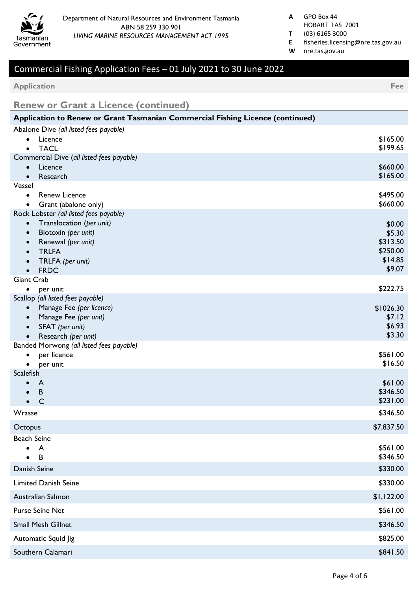

- HOBART TAS 7001
- **T** (03) 6165 3000
- **E** fisheries.licensing@nre.tas.gov.au
- **W** nre.tas.gov.au

**Application Fee**

**Renew or Grant a Licence (continued)**

| Application to Renew or Grant Tasmanian Commercial Fishing Licence (continued)  |                     |
|---------------------------------------------------------------------------------|---------------------|
| Abalone Dive (all listed fees payable)                                          |                     |
| Licence                                                                         | \$165.00            |
| <b>TACL</b><br>$\bullet$<br>Commercial Dive (all listed fees payable)           | \$199.65            |
| Licence<br>$\bullet$                                                            | \$660.00            |
| Research<br>$\bullet$                                                           | \$165.00            |
| Vessel                                                                          |                     |
| <b>Renew Licence</b><br>$\bullet$                                               | \$495.00            |
| Grant (abalone only)<br>$\bullet$                                               | \$660.00            |
| Rock Lobster (all listed fees payable)<br>Translocation (per unit)<br>$\bullet$ |                     |
| Biotoxin (per unit)                                                             | \$0.00<br>\$5.30    |
| Renewal (per unit)                                                              | \$313.50            |
| <b>TRLFA</b>                                                                    | \$250.00            |
| TRLFA (per unit)                                                                | \$14.85             |
| <b>FRDC</b><br>$\bullet$                                                        | \$9.07              |
| Giant Crab                                                                      | \$222.75            |
| per unit<br>$\bullet$<br>Scallop (all listed fees payable)                      |                     |
| Manage Fee (per licence)<br>$\bullet$                                           | \$1026.30           |
| Manage Fee (per unit)                                                           | \$7.12              |
| SFAT (per unit)                                                                 | \$6.93              |
| Research (per unit)                                                             | \$3.30              |
| Banded Morwong (all listed fees payable)                                        |                     |
| per licence<br>٠<br>per unit<br>$\bullet$                                       | \$561.00<br>\$16.50 |
| <b>Scalefish</b>                                                                |                     |
| A                                                                               | \$61.00             |
| B                                                                               | \$346.50            |
| $\mathsf{C}$<br>$\bullet$                                                       | \$231.00            |
| Wrasse                                                                          | \$346.50            |
| Octopus                                                                         | \$7,837.50          |
| <b>Beach Seine</b>                                                              |                     |
| A                                                                               | \$561.00            |
| В                                                                               | \$346.50            |
| Danish Seine                                                                    | \$330.00            |
| <b>Limited Danish Seine</b>                                                     | \$330.00            |
| Australian Salmon                                                               | \$1,122.00          |
| <b>Purse Seine Net</b>                                                          | \$561.00            |
| Small Mesh Gillnet                                                              | \$346.50            |
| Automatic Squid Jig                                                             | \$825.00            |
| Southern Calamari                                                               | \$841.50            |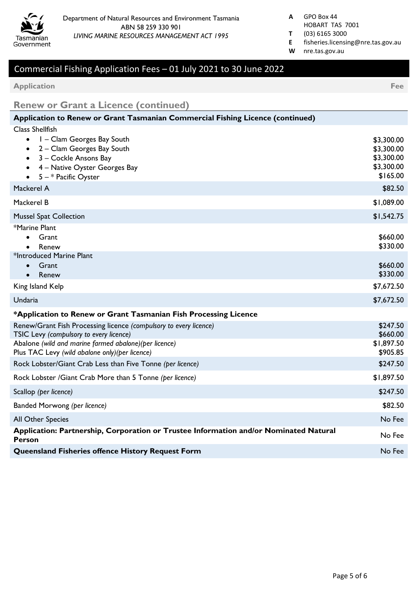

- HOBART TAS 7001
- **T** (03) 6165 3000
- **E** fisheries.licensing@nre.tas.gov.au
- **W** nre.tas.gov.au

**Application Fee**

**Renew or Grant a Licence (continued)**

| Application to Renew or Grant Tasmanian Commercial Fishing Licence (continued)                                                                                                                                           |                                                                  |
|--------------------------------------------------------------------------------------------------------------------------------------------------------------------------------------------------------------------------|------------------------------------------------------------------|
| <b>Class Shellfish</b><br>I – Clam Georges Bay South<br>$\bullet$<br>2 - Clam Georges Bay South<br>$\bullet$<br>3 - Cockle Ansons Bay<br>4 - Native Oyster Georges Bay<br>$5 - *$ Pacific Oyster                         | \$3,300.00<br>\$3,300.00<br>\$3,300.00<br>\$3,300.00<br>\$165.00 |
| Mackerel A                                                                                                                                                                                                               | \$82.50                                                          |
| Mackerel B                                                                                                                                                                                                               | \$1,089.00                                                       |
| <b>Mussel Spat Collection</b>                                                                                                                                                                                            | \$1,542.75                                                       |
| *Marine Plant<br>Grant<br>Renew                                                                                                                                                                                          | \$660.00<br>\$330.00                                             |
| *Introduced Marine Plant<br>Grant<br>Renew                                                                                                                                                                               | \$660.00<br>\$330.00                                             |
| King Island Kelp                                                                                                                                                                                                         | \$7,672.50                                                       |
| Undaria                                                                                                                                                                                                                  | \$7,672.50                                                       |
| *Application to Renew or Grant Tasmanian Fish Processing Licence                                                                                                                                                         |                                                                  |
| Renew/Grant Fish Processing licence (compulsory to every licence)<br>TSIC Levy (compulsory to every licence)<br>Abalone (wild and marine farmed abalone)(per licence)<br>Plus TAC Levy (wild abalone only) (per licence) | \$247.50<br>\$660.00<br>\$1,897.50<br>\$905.85                   |
| Rock Lobster/Giant Crab Less than Five Tonne (per licence)                                                                                                                                                               | \$247.50                                                         |
| Rock Lobster /Giant Crab More than 5 Tonne (per licence)                                                                                                                                                                 | \$1,897.50                                                       |
| Scallop (per licence)                                                                                                                                                                                                    | \$247.50                                                         |
| Banded Morwong (per licence)                                                                                                                                                                                             | \$82.50                                                          |
| All Other Species                                                                                                                                                                                                        | No Fee                                                           |
| Application: Partnership, Corporation or Trustee Information and/or Nominated Natural<br><b>Person</b>                                                                                                                   | No Fee                                                           |
| Queensland Fisheries offence History Request Form                                                                                                                                                                        | No Fee                                                           |